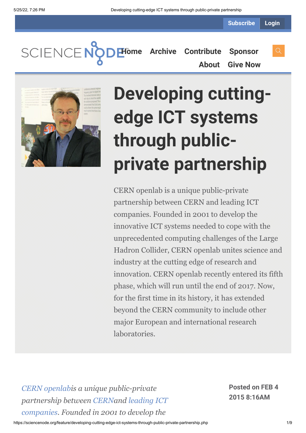**Subscribe Login**

SCIENCEN **[Home](https://sciencenode.org/) [Archive](https://sciencenode.org/archive/index.php) [Contribute](https://sciencenode.org/contribute/index.php) [Sponsor](https://sciencenode.org/sponsor/index.php) [About](https://sciencenode.org/about/index.php) [Give Now](https://sciencenode.org/donate/index.php)**



# **Developing cuttingedge ICT systems through publicprivate partnership**

CERN openlab is a unique public-private partnership between CERN and leading ICT companies. Founded in 2001 to develop the innovative ICT systems needed to cope with the unprecedented computing challenges of the Large Hadron Collider, CERN openlab unites science and industry at the cutting edge of research and innovation. CERN openlab recently entered its fifth phase, which will run until the end of 2017. Now, for the first time in its history, it has extended beyond the CERN community to include other major European and international research laboratories.

*[CERN openlabi](http://openlab.web.cern.ch/)s a unique public-private partnership between [CERNa](http://home.web.cern.ch/)nd leading ICT [companies. Founded in 2001 to develop the](http://openlab.web.cern.ch/about/industry_members)*

**Posted on FEB 4 2015 8:16AM**

https://sciencenode.org/feature/developing-cutting-edge-ict-systems-through-public-private-partnership.php 1/9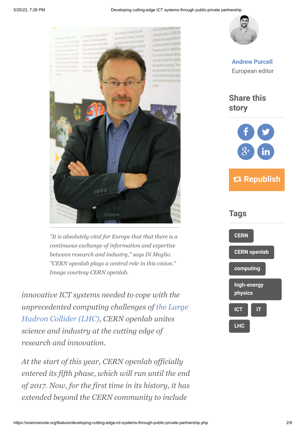#### 5/25/22, 7:26 PM Developing cutting-edge ICT systems through public-private partnership



*"It is absolutely vital for Europe that that there is a continuous exchange of information and expertise between research and industry," says Di Meglio. "CERN openlab plays a central role in this vision." Image courtesy CERN openlab.*

*innovative ICT systems needed to cope with the unprecedented computing challenges of the Large [Hadron Collider \(LHC\), CERN openlab unites](http://home.web.cern.ch/topics/large-hadron-collider) science and industry at the cutting edge of research and innovation.*

*At the start of this year, CERN openlab officially entered its fifth phase, which will run until the end of 2017. Now, for the first time in its history, it has extended beyond the CERN community to include*



**[Andrew Purcell](https://sciencenode.org/author/andrew-purcell.php)** European editor

**Share this story**



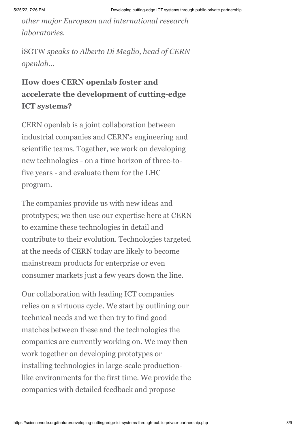*other major European and international research laboratories.*

iSGTW *speaks to Alberto Di Meglio, head of CERN openlab...*

### **How does CERN openlab foster and accelerate the development of cutting-edge ICT systems?**

CERN openlab is a joint collaboration between industrial companies and CERN's engineering and scientific teams. Together, we work on developing new technologies - on a time horizon of three-tofive years - and evaluate them for the LHC program.

The companies provide us with new ideas and prototypes; we then use our expertise here at CERN to examine these technologies in detail and contribute to their evolution. Technologies targeted at the needs of CERN today are likely to become mainstream products for enterprise or even consumer markets just a few years down the line.

Our collaboration with leading ICT companies relies on a virtuous cycle. We start by outlining our technical needs and we then try to find good matches between these and the technologies the companies are currently working on. We may then work together on developing prototypes or installing technologies in large-scale productionlike environments for the first time. We provide the companies with detailed feedback and propose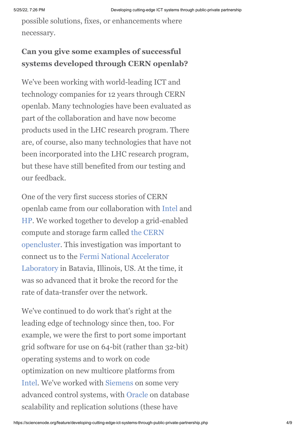possible solutions, fixes, or enhancements where necessary.

#### **Can you give some examples of successful systems developed through CERN openlab?**

We've been working with world-leading ICT and technology companies for 12 years through CERN openlab. Many technologies have been evaluated as part of the collaboration and have now become products used in the LHC research program. There are, of course, also many technologies that have not been incorporated into the LHC research program, but these have still benefited from our testing and our feedback.

One of the very first success stories of CERN openlab came from our collaboration with [Intel](http://www.intel.com/) and [HP](http://www.hp.com/). We worked together to develop a grid-enabled [compute and storage farm called the CERN](http://cerncourier.com/cws/article/cern/28938) opencluster. This investigation was important to connect us to the Fermi National Accelerator [Laboratory in Batavia, Illinois, US. At the tim](http://www.fnal.gov/)e, it was so advanced that it broke the record for the rate of data-transfer over the network.

We've continued to do work that's right at the leading edge of technology since then, too. For example, we were the first to port some important grid software for use on 64-bit (rather than 32-bit) operating systems and to work on code optimization on new multicore platforms from [Intel.](http://www.intel.com/) We've worked with [Siemens](http://www.siemens.com/) on some very advanced control systems, with [Oracle](http://www.oracle.com/) on database scalability and replication solutions (these have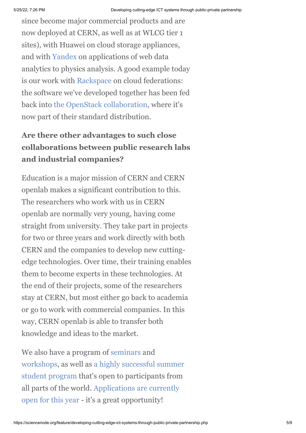since become major commercial products and are now deployed at CERN, as well as at WLCG tier 1 sites), with Huawei on cloud storage appliances, and with [Yandex](http://company.yandex.com/) on applications of web data analytics to physics analysis. A good example today is our work with [Rackspace](http://www.rackspace.com/) on cloud federations: the software we've developed together has been fed back into [the OpenStack collaboration,](http://www.isgtw.org/feature/tim-bell-importance-openstack-cern) where it's now part of their standard distribution.

#### **Are there other advantages to such close collaborations between public research labs and industrial companies?**

Education is a major mission of CERN and CERN openlab makes a significant contribution to this. The researchers who work with us in CERN openlab are normally very young, having come straight from university. They take part in projects for two or three years and work directly with both CERN and the companies to develop new cuttingedge technologies. Over time, their training enables them to become experts in these technologies. At the end of their projects, some of the researchers stay at CERN, but most either go back to academia or go to work with commercial companies. In this way, CERN openlab is able to transfer both knowledge and ideas to the market.

We also have a program of [seminars](http://openlab.web.cern.ch/education/List-Of-Seminars) and [workshops, as well as a highly successful summer](http://openlab.web.cern.ch/summer-student-programme) student program that's open to participants from [all parts of the world. Applications are currently](http://openlab.web.cern.ch/news/cern-openlab-summer-student-programme-invites-2015-applications) open for this year - it's a great opportunity!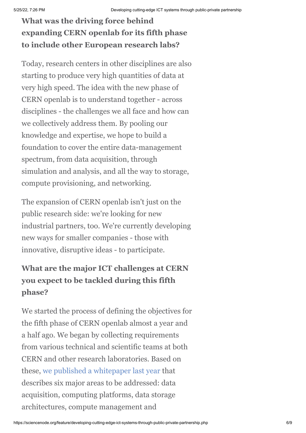## **What was the driving force behind expanding CERN openlab for its fifth phase to include other European research labs?**

Today, research centers in other disciplines are also starting to produce very high quantities of data at very high speed. The idea with the new phase of CERN openlab is to understand together - across disciplines - the challenges we all face and how can we collectively address them. By pooling our knowledge and expertise, we hope to build a foundation to cover the entire data-management spectrum, from data acquisition, through simulation and analysis, and all the way to storage, compute provisioning, and networking.

The expansion of CERN openlab isn't just on the public research side: we're looking for new industrial partners, too. We're currently developing new ways for smaller companies - those with innovative, disruptive ideas - to participate.

#### **What are the major ICT challenges at CERN you expect to be tackled during this fifth phase?**

We started the process of defining the objectives for the fifth phase of CERN openlab almost a year and a half ago. We began by collecting requirements from various technical and scientific teams at both CERN and other research laboratories. Based on these, [we published a whitepaper last year](https://zenodo.org/record/8765/files/CERNopenlabWhitepaperonFutureICTChallengesinScientificResearchV1.4.pdf) that describes six major areas to be addressed: data acquisition, computing platforms, data storage architectures, compute management and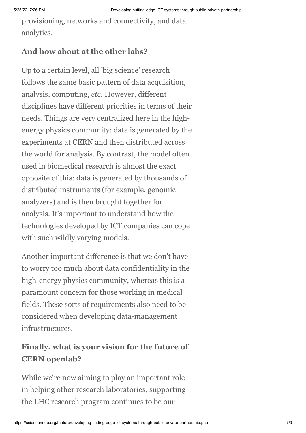provisioning, networks and connectivity, and data analytics.

#### **And how about at the other labs?**

Up to a certain level, all 'big science' research follows the same basic pattern of data acquisition, analysis, computing, *etc.* However, different disciplines have different priorities in terms of their needs. Things are very centralized here in the highenergy physics community: data is generated by the experiments at CERN and then distributed across the world for analysis. By contrast, the model often used in biomedical research is almost the exact opposite of this: data is generated by thousands of distributed instruments (for example, genomic analyzers) and is then brought together for analysis. It's important to understand how the technologies developed by ICT companies can cope with such wildly varying models.

Another important difference is that we don't have to worry too much about data confidentiality in the high-energy physics community, whereas this is a paramount concern for those working in medical fields. These sorts of requirements also need to be considered when developing data-management infrastructures.

#### **Finally, what is your vision for the future of CERN openlab?**

While we're now aiming to play an important role in helping other research laboratories, supporting the LHC research program continues to be our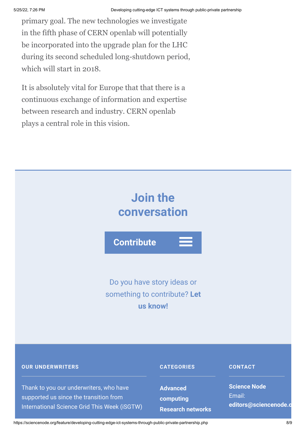primary goal. The new technologies we investigate in the fifth phase of CERN openlab will potentially be incorporated into the upgrade plan for the LHC during its second scheduled long-shutdown period, which will start in 2018.

It is absolutely vital for Europe that that there is a continuous exchange of information and expertise between research and industry. CERN openlab plays a central role in this vision.